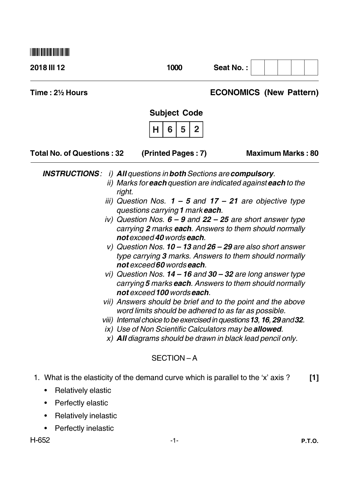| 2018 III 12                                                                                        | 1000                                                                                                                                                                                                                                                                                                                                                                          | Seat No.:                                                                                                                                                                                                                                                                                                                                                                                                                                                                                                                                                                                                                                                             |
|----------------------------------------------------------------------------------------------------|-------------------------------------------------------------------------------------------------------------------------------------------------------------------------------------------------------------------------------------------------------------------------------------------------------------------------------------------------------------------------------|-----------------------------------------------------------------------------------------------------------------------------------------------------------------------------------------------------------------------------------------------------------------------------------------------------------------------------------------------------------------------------------------------------------------------------------------------------------------------------------------------------------------------------------------------------------------------------------------------------------------------------------------------------------------------|
| Time: 2½ Hours                                                                                     |                                                                                                                                                                                                                                                                                                                                                                               | <b>ECONOMICS (New Pattern)</b>                                                                                                                                                                                                                                                                                                                                                                                                                                                                                                                                                                                                                                        |
|                                                                                                    | <b>Subject Code</b>                                                                                                                                                                                                                                                                                                                                                           |                                                                                                                                                                                                                                                                                                                                                                                                                                                                                                                                                                                                                                                                       |
|                                                                                                    | $\overline{\mathbf{2}}$<br>6<br>5<br>н                                                                                                                                                                                                                                                                                                                                        |                                                                                                                                                                                                                                                                                                                                                                                                                                                                                                                                                                                                                                                                       |
| <b>Total No. of Questions: 32</b>                                                                  | (Printed Pages: 7)                                                                                                                                                                                                                                                                                                                                                            | <b>Maximum Marks: 80</b>                                                                                                                                                                                                                                                                                                                                                                                                                                                                                                                                                                                                                                              |
| <b>INSTRUCTIONS:</b>                                                                               | <i>i</i> ) All questions in both Sections are compulsory.<br>right.<br>questions carrying 1 mark each.<br>not exceed 40 words each.<br>not exceed 60 words each.<br>not exceed 100 words each.<br>word limits should be adhered to as far as possible.<br>ix) Use of Non Scientific Calculators may be allowed.<br>x) All diagrams should be drawn in black lead pencil only. | ii) Marks for <b>each</b> question are indicated against <b>each</b> to the<br>iii) Question Nos. $1 - 5$ and $17 - 21$ are objective type<br>iv) Question Nos. $6 - 9$ and $22 - 25$ are short answer type<br>carrying 2 marks each. Answers to them should normally<br>v) Question Nos. $10 - 13$ and $26 - 29$ are also short answer<br>type carrying 3 marks. Answers to them should normally<br>vi) Question Nos. $14 - 16$ and $30 - 32$ are long answer type<br>carrying 5 marks each. Answers to them should normally<br>vii) Answers should be brief and to the point and the above<br>viii) Internal choice to be exercised in questions 13, 16, 29 and 32. |
|                                                                                                    | SECTION-A                                                                                                                                                                                                                                                                                                                                                                     |                                                                                                                                                                                                                                                                                                                                                                                                                                                                                                                                                                                                                                                                       |
| <b>Relatively elastic</b><br>Perfectly elastic<br>Relatively inelastic<br>٠<br>Perfectly inelastic | 1. What is the elasticity of the demand curve which is parallel to the 'x' axis?                                                                                                                                                                                                                                                                                              | $[1]$                                                                                                                                                                                                                                                                                                                                                                                                                                                                                                                                                                                                                                                                 |

H-652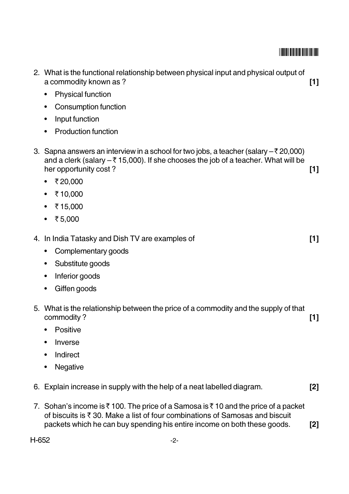#### **THEIR RIE BILL BILL THE HELL**

- 2. What is the functional relationship between physical input and physical output of  $[1]$ a commodity known as ?
	- **Physical function**  $\bullet$
	- Consumption function
	- Input function
	- Production function
- 3. Sapna answers an interview in a school for two jobs, a teacher (salary  $-\overline{\xi}$  20,000) and a clerk (salary  $-\overline{\xi}$  15,000). If she chooses the job of a teacher. What will be her opportunity cost?  $[1]$ 
	- ₹20,000
	- ₹10,000
	- ₹15,000
	- ₹5,000
- 4. In India Tatasky and Dish TV are examples of
	- Complementary goods
	- Substitute goods
	- Inferior goods
	- Giffen goods
- 5. What is the relationship between the price of a commodity and the supply of that commodity?  $[1]$ 
	- Positive
	- Inverse
	- Indirect
	- Negative  $\bullet$
- 6. Explain increase in supply with the help of a neat labelled diagram.  $[2]$
- 7. Sohan's income is  $\bar{\tau}$  100. The price of a Samosa is  $\bar{\tau}$  10 and the price of a packet of biscuits is ₹30. Make a list of four combinations of Samosas and biscuit packets which he can buy spending his entire income on both these goods.  $[2]$

H-652

 $[1]$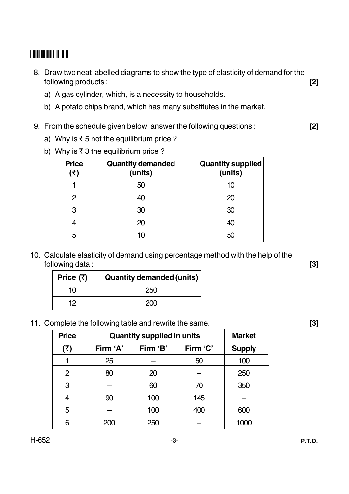#### **THE REAL PROPERTY OF A REAL PROPERTY**

- 8. Draw two neat labelled diagrams to show the type of elasticity of demand for the  $[2]$ following products:
	- a) A gas cylinder, which, is a necessity to households.
	- b) A potato chips brand, which has many substitutes in the market.
- 9. From the schedule given below, answer the following questions:
	- a) Why is  $\overline{\xi}$  5 not the equilibrium price ?
	- b) Why is  $\overline{\xi}$  3 the equilibrium price ?

| <b>Price</b> | <b>Quantity demanded</b><br>(units) | <b>Quantity supplied</b><br>(units) |
|--------------|-------------------------------------|-------------------------------------|
|              | 50                                  | 10                                  |
| 2            | 40                                  | 20                                  |
| 3            | 30                                  | 30                                  |
|              | 20                                  | 40                                  |
| 5            | 10                                  | 50                                  |

10. Calculate elasticity of demand using percentage method with the help of the following data:

| Price $($ ₹) | <b>Quantity demanded (units)</b> |  |  |
|--------------|----------------------------------|--|--|
| 10           | 250                              |  |  |
| 12.          | 200                              |  |  |

11. Complete the following table and rewrite the same.

| <b>Price</b>   | <b>Quantity supplied in units</b> |          |          | <b>Market</b> |
|----------------|-----------------------------------|----------|----------|---------------|
| (₹)            | Firm 'A'                          | Firm 'B' | Firm 'C' | <b>Supply</b> |
|                | 25                                |          | 50       | 100           |
| $\overline{2}$ | 80                                | 20       |          | 250           |
| 3              |                                   | 60       | 70       | 350           |
| 4              | 90                                | 100      | 145      |               |
| 5              |                                   | 100      | 400      | 600           |
| 6              |                                   | 250      |          | 1000          |

 $[2]$ 

 $[3]$ 

 $[3]$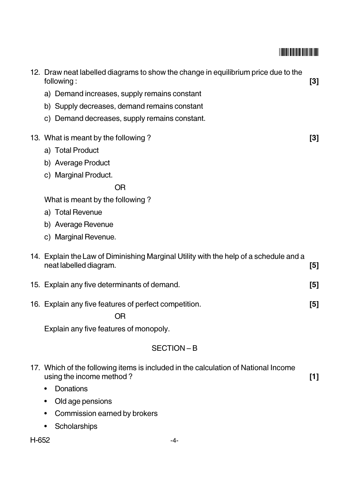| 12. Draw neat labelled diagrams to show the change in equilibrium price due to the<br>following:                | $[3]$ |
|-----------------------------------------------------------------------------------------------------------------|-------|
| a) Demand increases, supply remains constant                                                                    |       |
| b) Supply decreases, demand remains constant                                                                    |       |
| c) Demand decreases, supply remains constant.                                                                   |       |
| 13. What is meant by the following?                                                                             | $[3]$ |
| a) Total Product                                                                                                |       |
| b) Average Product                                                                                              |       |
| c) Marginal Product.                                                                                            |       |
| OR                                                                                                              |       |
| What is meant by the following?                                                                                 |       |
| a) Total Revenue                                                                                                |       |
| b) Average Revenue                                                                                              |       |
| c) Marginal Revenue.                                                                                            |       |
| 14. Explain the Law of Diminishing Marginal Utility with the help of a schedule and a<br>neat labelled diagram. | $[5]$ |
| 15. Explain any five determinants of demand.                                                                    | $[5]$ |
| 16. Explain any five features of perfect competition.                                                           | $[5]$ |
| <b>OR</b>                                                                                                       |       |
| Explain any five features of monopoly.                                                                          |       |
| SECTION-B                                                                                                       |       |
| 17. Which of the following items is included in the calculation of National Income<br>using the income method?  | $[1]$ |
| <b>Donations</b><br>٠                                                                                           |       |
| Old age pensions                                                                                                |       |

- Commission earned by brokers
- Scholarships

H-652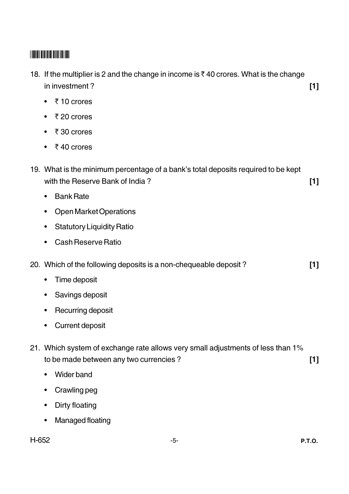| 18. If the multiplier is 2 and the change in income is ₹40 crores. What is the change<br>in investment?                   | $[1]$ |
|---------------------------------------------------------------------------------------------------------------------------|-------|
| ₹10 crores<br>$\bullet$                                                                                                   |       |
| ₹20 crores                                                                                                                |       |
| ₹30 crores                                                                                                                |       |
| ₹40 crores                                                                                                                |       |
| 19. What is the minimum percentage of a bank's total deposits required to be kept<br>with the Reserve Bank of India?      | $[1]$ |
| <b>Bank Rate</b><br>$\bullet$                                                                                             |       |
| <b>Open Market Operations</b><br>٠                                                                                        |       |
| <b>Statutory Liquidity Ratio</b><br>٠                                                                                     |       |
| <b>Cash Reserve Ratio</b>                                                                                                 |       |
| 20. Which of the following deposits is a non-chequeable deposit?                                                          | [1]   |
| Time deposit<br>$\bullet$                                                                                                 |       |
| Savings deposit<br>$\bullet$                                                                                              |       |
| Recurring deposit<br>٠                                                                                                    |       |
| <b>Current deposit</b>                                                                                                    |       |
| 21. Which system of exchange rate allows very small adjustments of less than 1%<br>to be made between any two currencies? | $[1]$ |
| <b>Wider band</b><br>$\bullet$                                                                                            |       |
| Crawling peg                                                                                                              |       |
| Dirty floating                                                                                                            |       |
| <b>Managed floating</b>                                                                                                   |       |
|                                                                                                                           |       |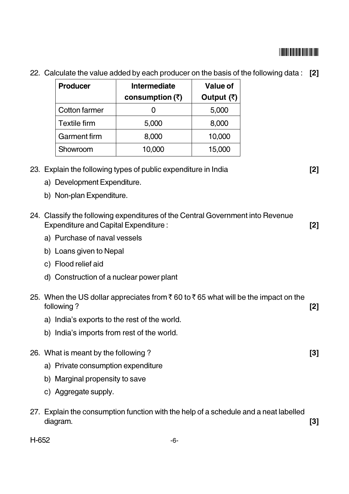| <b>Producer</b>      | <b>Intermediate</b>     | Value of     |
|----------------------|-------------------------|--------------|
|                      | consumption $(\bar{x})$ | Output $(3)$ |
| <b>Cotton farmer</b> |                         | 5,000        |
| <b>Textile firm</b>  | 5,000                   | 8,000        |
| <b>Garment firm</b>  | 8,000                   | 10,000       |
| Showroom             | 10,000                  | 15,000       |

22. Calculate the value added by each producer on the basis of the following data: [2]

|     | Showroom                                    | 10,000                                                                            | 15,000 |       |
|-----|---------------------------------------------|-----------------------------------------------------------------------------------|--------|-------|
|     |                                             | 23. Explain the following types of public expenditure in India                    |        | $[2]$ |
|     | a) Development Expenditure.                 |                                                                                   |        |       |
|     | b) Non-plan Expenditure.                    |                                                                                   |        |       |
|     |                                             |                                                                                   |        |       |
|     | <b>Expenditure and Capital Expenditure:</b> | 24. Classify the following expenditures of the Central Government into Revenue    |        | [2]   |
|     | a) Purchase of naval vessels                |                                                                                   |        |       |
|     | b) Loans given to Nepal                     |                                                                                   |        |       |
|     | c) Flood relief aid                         |                                                                                   |        |       |
|     |                                             | d) Construction of a nuclear power plant                                          |        |       |
|     |                                             |                                                                                   |        |       |
|     | following?                                  | 25. When the US dollar appreciates from ₹60 to ₹65 what will be the impact on the |        | [2]   |
|     |                                             | a) India's exports to the rest of the world.                                      |        |       |
|     |                                             | b) India's imports from rest of the world.                                        |        |       |
|     |                                             |                                                                                   |        |       |
|     | 26. What is meant by the following?         |                                                                                   |        | $[3]$ |
|     | a) Private consumption expenditure          |                                                                                   |        |       |
|     | b) Marginal propensity to save              |                                                                                   |        |       |
|     | c) Aggregate supply.                        |                                                                                   |        |       |
| 27. | diagram.                                    | Explain the consumption function with the help of a schedule and a neat labelled  |        | [3]   |